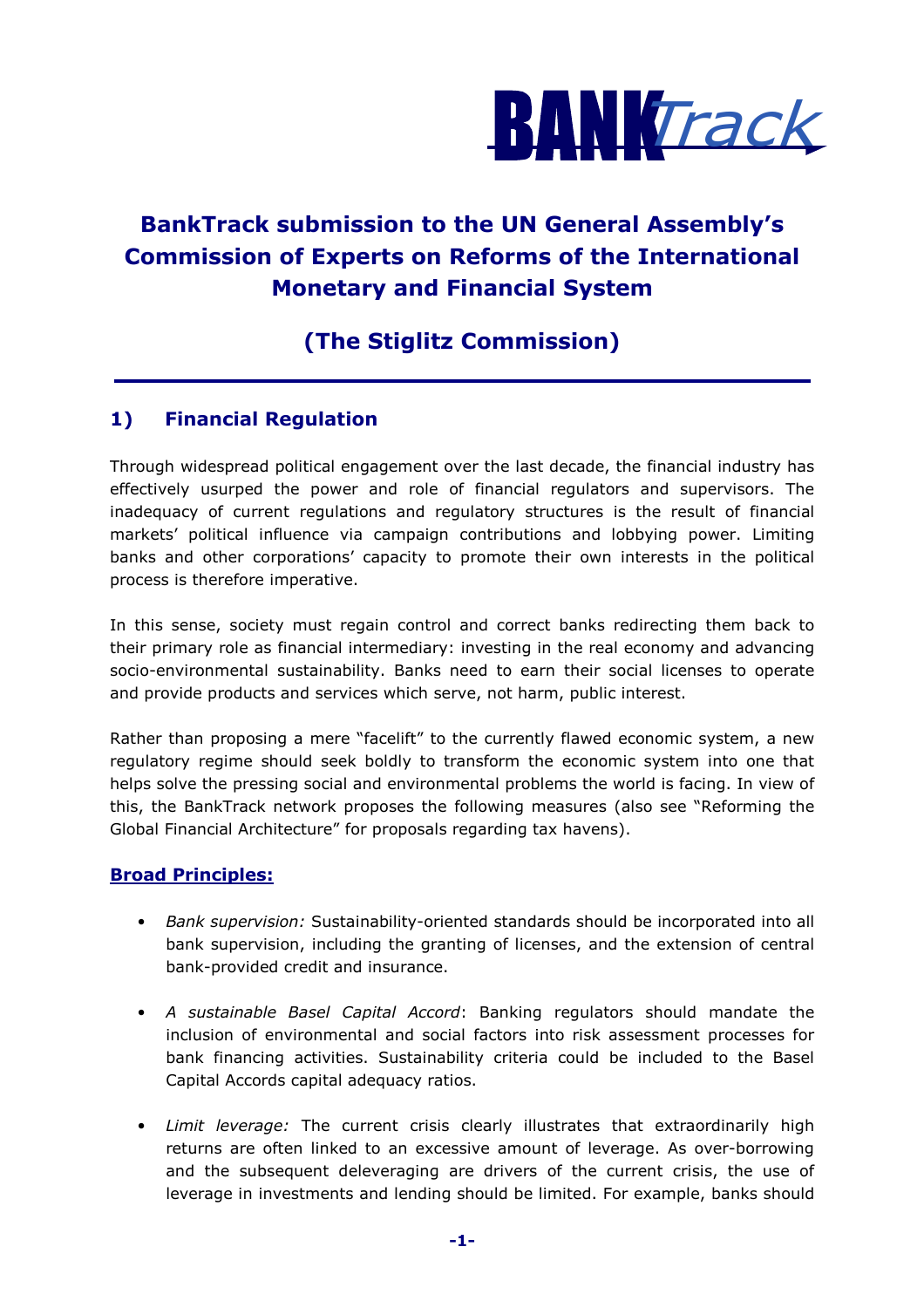

# BankTrack submission to the UN General Assembly's Commission of Experts on Reforms of the International Monetary and Financial System

## (The Stiglitz Commission)

## 1) Financial Regulation

Through widespread political engagement over the last decade, the financial industry has effectively usurped the power and role of financial regulators and supervisors. The inadequacy of current regulations and regulatory structures is the result of financial markets' political influence via campaign contributions and lobbying power. Limiting banks and other corporations' capacity to promote their own interests in the political process is therefore imperative.

In this sense, society must regain control and correct banks redirecting them back to their primary role as financial intermediary: investing in the real economy and advancing socio-environmental sustainability. Banks need to earn their social licenses to operate and provide products and services which serve, not harm, public interest.

Rather than proposing a mere "facelift" to the currently flawed economic system, a new regulatory regime should seek boldly to transform the economic system into one that helps solve the pressing social and environmental problems the world is facing. In view of this, the BankTrack network proposes the following measures (also see "Reforming the Global Financial Architecture" for proposals regarding tax havens).

## Broad Principles:

- Bank supervision: Sustainability-oriented standards should be incorporated into all bank supervision, including the granting of licenses, and the extension of central bank-provided credit and insurance.
- A sustainable Basel Capital Accord: Banking regulators should mandate the inclusion of environmental and social factors into risk assessment processes for bank financing activities. Sustainability criteria could be included to the Basel Capital Accords capital adequacy ratios.
- Limit leverage: The current crisis clearly illustrates that extraordinarily high returns are often linked to an excessive amount of leverage. As over-borrowing and the subsequent deleveraging are drivers of the current crisis, the use of leverage in investments and lending should be limited. For example, banks should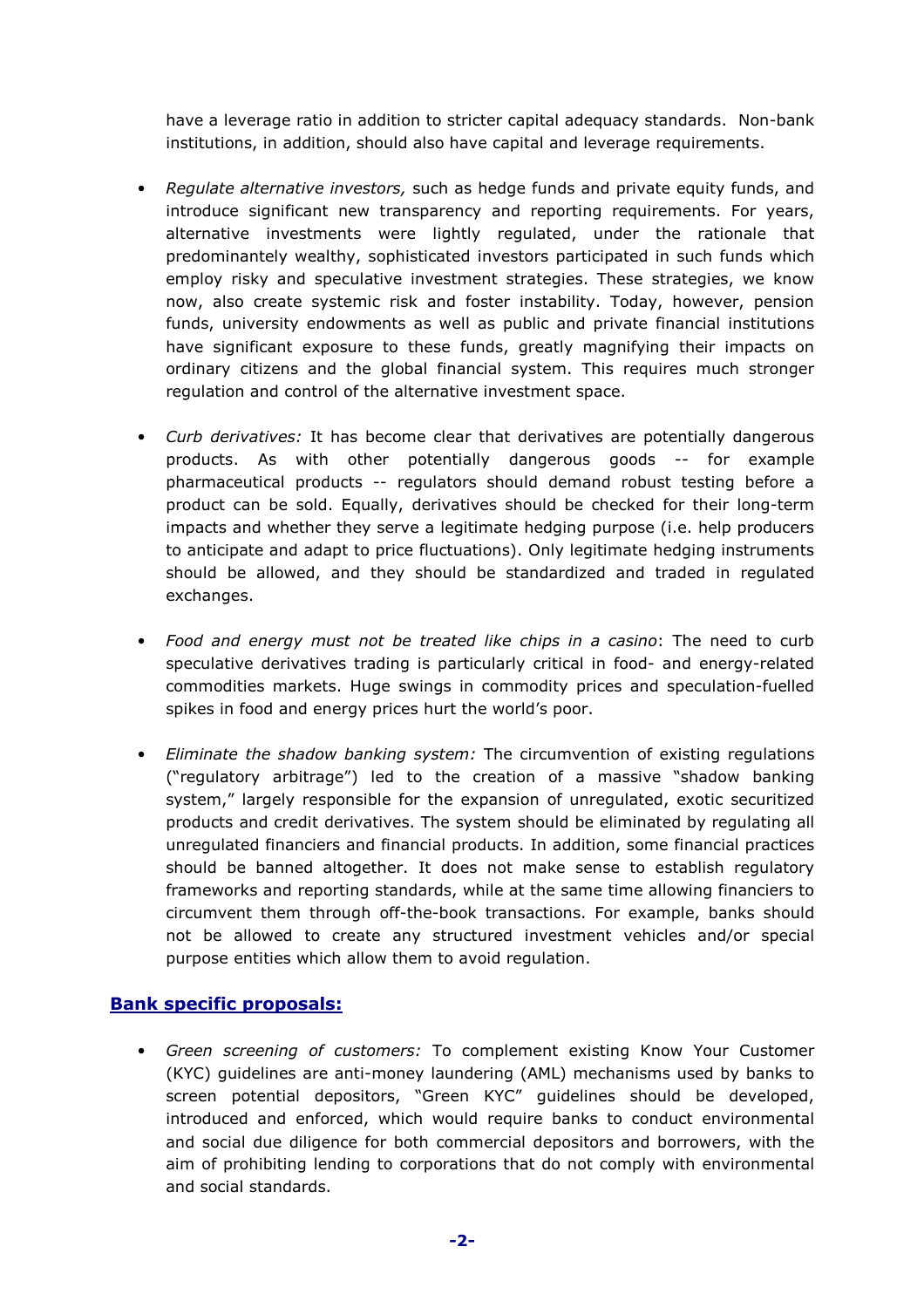have a leverage ratio in addition to stricter capital adequacy standards. Non-bank institutions, in addition, should also have capital and leverage requirements.

- Requlate alternative investors, such as hedge funds and private equity funds, and introduce significant new transparency and reporting requirements. For years, alternative investments were lightly regulated, under the rationale that predominantely wealthy, sophisticated investors participated in such funds which employ risky and speculative investment strategies. These strategies, we know now, also create systemic risk and foster instability. Today, however, pension funds, university endowments as well as public and private financial institutions have significant exposure to these funds, greatly magnifying their impacts on ordinary citizens and the global financial system. This requires much stronger regulation and control of the alternative investment space.
- Curb derivatives: It has become clear that derivatives are potentially dangerous products. As with other potentially dangerous goods -- for example pharmaceutical products -- regulators should demand robust testing before a product can be sold. Equally, derivatives should be checked for their long-term impacts and whether they serve a legitimate hedging purpose (i.e. help producers to anticipate and adapt to price fluctuations). Only legitimate hedging instruments should be allowed, and they should be standardized and traded in regulated exchanges.
- Food and energy must not be treated like chips in a casino: The need to curb speculative derivatives trading is particularly critical in food- and energy-related commodities markets. Huge swings in commodity prices and speculation-fuelled spikes in food and energy prices hurt the world's poor.
- Eliminate the shadow banking system: The circumvention of existing regulations ("regulatory arbitrage") led to the creation of a massive "shadow banking system," largely responsible for the expansion of unregulated, exotic securitized products and credit derivatives. The system should be eliminated by regulating all unregulated financiers and financial products. In addition, some financial practices should be banned altogether. It does not make sense to establish regulatory frameworks and reporting standards, while at the same time allowing financiers to circumvent them through off-the-book transactions. For example, banks should not be allowed to create any structured investment vehicles and/or special purpose entities which allow them to avoid regulation.

#### Bank specific proposals:

• Green screening of customers: To complement existing Know Your Customer (KYC) guidelines are anti-money laundering (AML) mechanisms used by banks to screen potential depositors, "Green KYC" guidelines should be developed, introduced and enforced, which would require banks to conduct environmental and social due diligence for both commercial depositors and borrowers, with the aim of prohibiting lending to corporations that do not comply with environmental and social standards.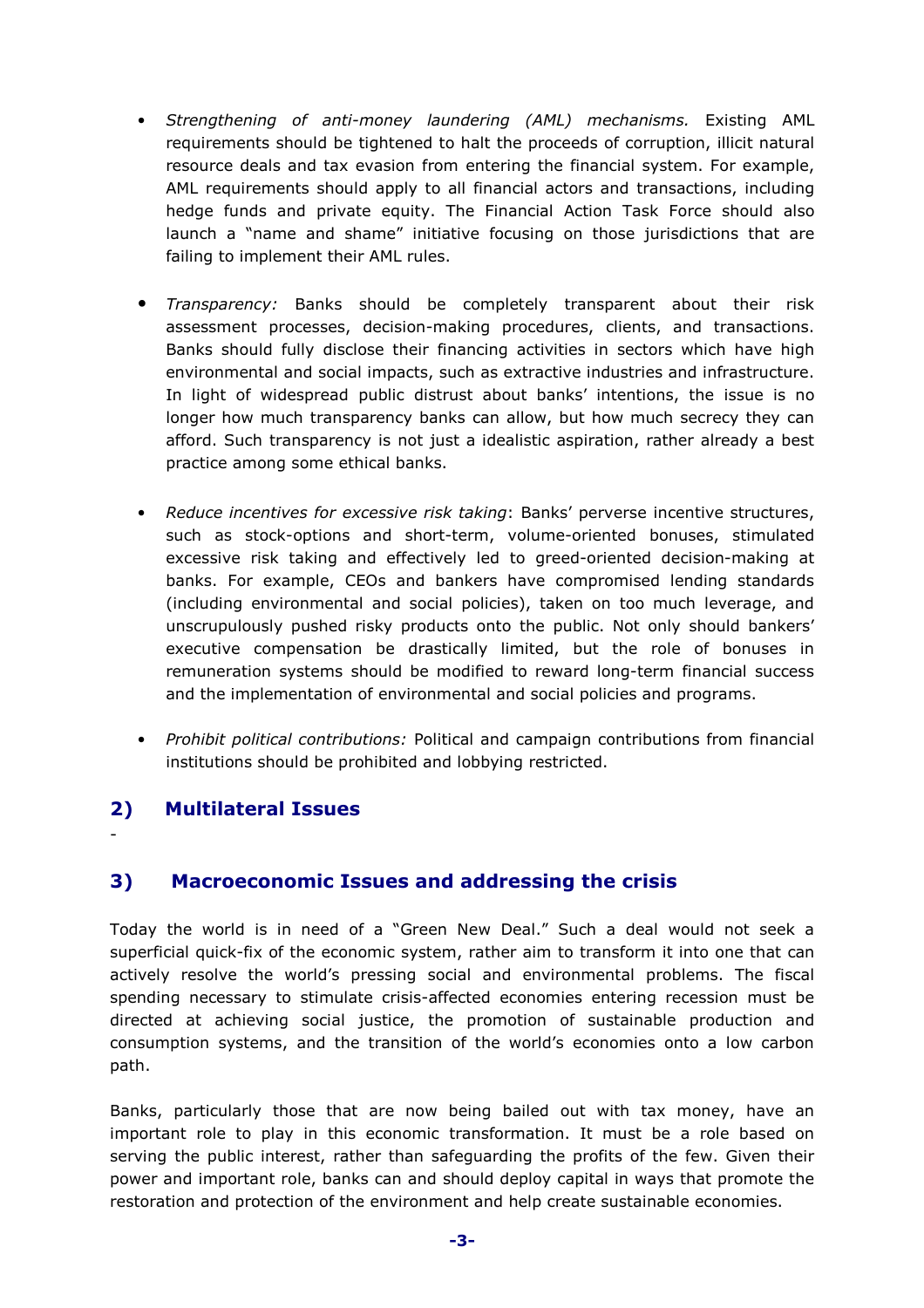- Strengthening of anti-money laundering (AML) mechanisms. Existing AML requirements should be tightened to halt the proceeds of corruption, illicit natural resource deals and tax evasion from entering the financial system. For example, AML requirements should apply to all financial actors and transactions, including hedge funds and private equity. The Financial Action Task Force should also launch a "name and shame" initiative focusing on those jurisdictions that are failing to implement their AML rules.
- Transparency: Banks should be completely transparent about their risk assessment processes, decision-making procedures, clients, and transactions. Banks should fully disclose their financing activities in sectors which have high environmental and social impacts, such as extractive industries and infrastructure. In light of widespread public distrust about banks' intentions, the issue is no longer how much transparency banks can allow, but how much secrecy they can afford. Such transparency is not just a idealistic aspiration, rather already a best practice among some ethical banks.
- Reduce incentives for excessive risk taking: Banks' perverse incentive structures, such as stock-options and short-term, volume-oriented bonuses, stimulated excessive risk taking and effectively led to greed-oriented decision-making at banks. For example, CEOs and bankers have compromised lending standards (including environmental and social policies), taken on too much leverage, and unscrupulously pushed risky products onto the public. Not only should bankers' executive compensation be drastically limited, but the role of bonuses in remuneration systems should be modified to reward long-term financial success and the implementation of environmental and social policies and programs.
- Prohibit political contributions: Political and campaign contributions from financial institutions should be prohibited and lobbying restricted.

## 2) Multilateral Issues

-

## 3) Macroeconomic Issues and addressing the crisis

Today the world is in need of a "Green New Deal." Such a deal would not seek a superficial quick-fix of the economic system, rather aim to transform it into one that can actively resolve the world's pressing social and environmental problems. The fiscal spending necessary to stimulate crisis-affected economies entering recession must be directed at achieving social justice, the promotion of sustainable production and consumption systems, and the transition of the world's economies onto a low carbon path.

Banks, particularly those that are now being bailed out with tax money, have an important role to play in this economic transformation. It must be a role based on serving the public interest, rather than safeguarding the profits of the few. Given their power and important role, banks can and should deploy capital in ways that promote the restoration and protection of the environment and help create sustainable economies.